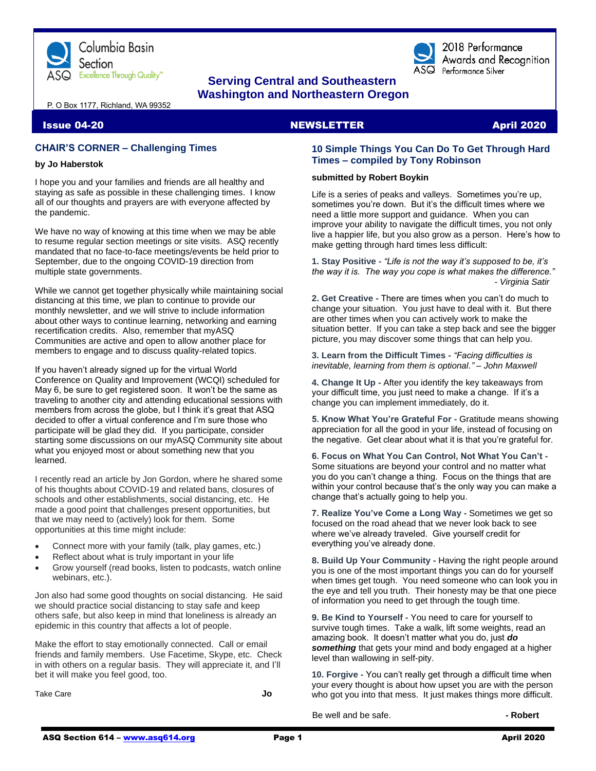

# **Serving Central and Southeastern Washington and Northeastern Oregon**

P. O Box 1177, Richland, WA 99352

# **CHAIR'S CORNER – Challenging Times**

#### **by Jo Haberstok**

I hope you and your families and friends are all healthy and staying as safe as possible in these challenging times. I know all of our thoughts and prayers are with everyone affected by the pandemic.

We have no way of knowing at this time when we may be able to resume regular section meetings or site visits. ASQ recently mandated that no face-to-face meetings/events be held prior to September, due to the ongoing COVID-19 direction from multiple state governments.

While we cannot get together physically while maintaining social distancing at this time, we plan to continue to provide our monthly newsletter, and we will strive to include information about other ways to continue learning, networking and earning recertification credits. Also, remember that myASQ Communities are active and open to allow another place for members to engage and to discuss quality-related topics.

If you haven't already signed up for the virtual World Conference on Quality and Improvement (WCQI) scheduled for May 6, be sure to get registered soon. It won't be the same as traveling to another city and attending educational sessions with members from across the globe, but I think it's great that ASQ decided to offer a virtual conference and I'm sure those who participate will be glad they did. If you participate, consider starting some discussions on our myASQ Community site about what you enjoyed most or about something new that you learned.

I recently read an article by Jon Gordon, where he shared some of his thoughts about COVID-19 and related bans, closures of schools and other establishments, social distancing, etc. He made a good point that challenges present opportunities, but that we may need to (actively) look for them. Some opportunities at this time might include:

- Connect more with your family (talk, play games, etc.)
- Reflect about what is truly important in your life
- Grow yourself (read books, listen to podcasts, watch online webinars, etc.).

Jon also had some good thoughts on social distancing. He said we should practice social distancing to stay safe and keep others safe, but also keep in mind that loneliness is already an epidemic in this country that affects a lot of people.

Make the effort to stay emotionally connected. Call or email friends and family members. Use Facetime, Skype, etc. Check in with others on a regular basis. They will appreciate it, and I'll bet it will make you feel good, too.

Take Care **Jo**

# **Issue 04-20 NEWSLETTER** April 2020

2018 Performance Awards and Recognition

 $\overline{\text{ASQ}}$  Performance Silver

## **10 Simple Things You Can Do To Get Through Hard Times – compiled by Tony Robinson**

#### **submitted by Robert Boykin**

Life is a series of peaks and valleys. Sometimes you're up, sometimes you're down. But it's the difficult times where we need a little more support and guidance. When you can improve your ability to navigate the difficult times, you not only live a happier life, but you also grow as a person. Here's how to make getting through hard times less difficult:

**1. Stay Positive -** *"Life is not the way it's supposed to be, it's the way it is. The way you cope is what makes the difference." - Virginia Satir*

**2. Get Creative -** There are times when you can't do much to change your situation. You just have to deal with it. But there are other times when you can actively work to make the situation better. If you can take a step back and see the bigger picture, you may discover some things that can help you.

**3. Learn from the Difficult Times -** *"Facing difficulties is inevitable, learning from them is optional." – John Maxwell*

**4. Change It Up -** After you identify the key takeaways from your difficult time, you just need to make a change. If it's a change you can implement immediately, do it.

**5. Know What You're Grateful For -** Gratitude means showing appreciation for all the good in your life, instead of focusing on the negative. Get clear about what it is that you're grateful for.

**6. Focus on What You Can Control, Not What You Can't -** Some situations are beyond your control and no matter what you do you can't change a thing. Focus on the things that are within your control because that's the only way you can make a change that's actually going to help you.

**7. Realize You've Come a Long Way -** Sometimes we get so focused on the road ahead that we never look back to see where we've already traveled. Give yourself credit for everything you've already done.

**8. Build Up Your Community -** Having the right people around you is one of the most important things you can do for yourself when times get tough. You need someone who can look you in the eye and tell you truth. Their honesty may be that one piece of information you need to get through the tough time.

**9. Be Kind to Yourself -** You need to care for yourself to survive tough times. Take a walk, lift some weights, read an amazing book. It doesn't matter what you do, just *do something* that gets your mind and body engaged at a higher level than wallowing in self-pity.

**10. Forgive -** You can't really get through a difficult time when your every thought is about how upset you are with the person who got you into that mess. It just makes things more difficult.

Be well and be safe. **- Robert**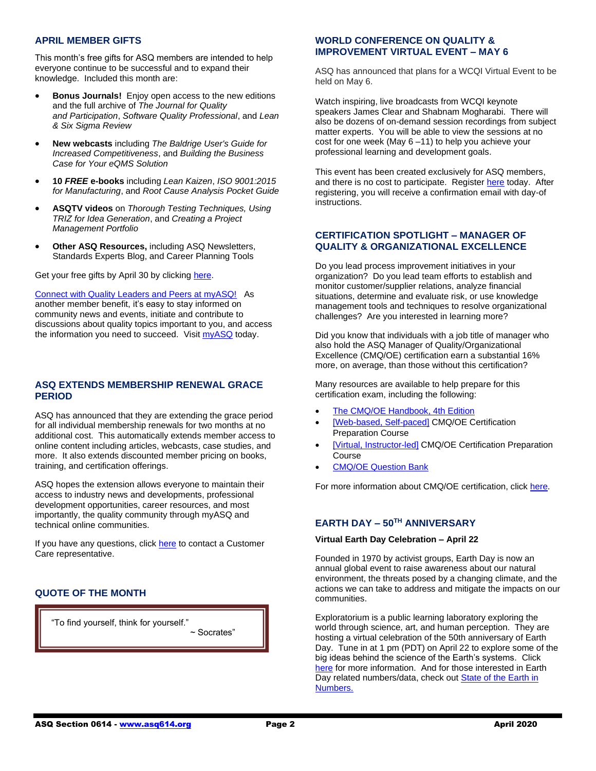## **APRIL MEMBER GIFTS**

This month's free gifts for ASQ members are intended to help everyone continue to be successful and to expand their knowledge. Included this month are:

- **Bonus Journals!** Enjoy open access to the new editions and the full archive of *The Journal for Quality and Participation*, *Software Quality Professional*, and *Lean & Six Sigma Review*
- **New webcasts** including *The Baldrige User's Guide for Increased Competitiveness*, and *Building the Business Case for Your eQMS Solution*
- **10** *FREE* **e-books** including *Lean Kaizen*, *ISO 9001:2015 for Manufacturing*, and *Root Cause Analysis Pocket Guide*
- **ASQTV videos** on *Thorough Testing Techniques, Using TRIZ for Idea Generation*, and *Creating a Project Management Portfolio*
- **Other ASQ Resources,** including ASQ Newsletters, Standards Experts Blog, and Career Planning Tools

Get your free gifts by April 30 by clicking [here.](http://asq.org/membership/members/gift/?utm_source=email&utm_medium=email&utm_campaign=marketing_aprilmembergift_040120)

[Connect with Quality Leaders and Peers at myASQ!](http://send.asq.org/link.cfm?r=O4fm4FESIoti18Gkq1PUMw~~&pe=ZS2Dt4DYwSgVTx78VGMPkbRxKvE-xt6RyTbA00f8j5Qx8hnQmOLI4pPhWmOWnEk_Fk6QgIs_a2P_qjxi0EQwVw~~&t=lVDadZfgASXcLgwPT80OHQ~~) As another member benefit, it's easy to stay informed on community news and events, initiate and contribute to discussions about quality topics important to you, and access the information you need to succeed. Visit [myASQ](http://send.asq.org/link.cfm?r=O4fm4FESIoti18Gkq1PUMw~~&pe=ygPMHXJ6ptwJ0zWHmNAAd826ALuayQc8gIqWhIgLTFa-5_FK18L0ij92nhwPV0KpvkqEai8-jLyr_qlGi8UkSA~~&t=lVDadZfgASXcLgwPT80OHQ~~) today.

# **ASQ EXTENDS MEMBERSHIP RENEWAL GRACE PERIOD**

ASQ has announced that they are extending the grace period for all individual membership renewals for two months at no additional cost. This automatically extends member access to online content including articles, webcasts, case studies, and more. It also extends discounted member pricing on books, training, and certification offerings.

ASQ hopes the extension allows everyone to maintain their access to industry news and developments, professional development opportunities, career resources, and most importantly, the quality community through myASQ and technical online communities.

If you have any questions, click [here](mailto:help@asq.org) to contact a Customer Care representative.

# **QUOTE OF THE MONTH**

 $\overline{a}$ 

"To find yourself, think for yourself." ~ Socrates"

# **WORLD CONFERENCE ON QUALITY & IMPROVEMENT VIRTUAL EVENT – MAY 6**

ASQ has announced that plans for a WCQI Virtual Event to be held on May 6.

Watch inspiring, live broadcasts from WCQI keynote speakers James Clear and Shabnam Mogharabi. There will also be dozens of on-demand session recordings from subject matter experts. You will be able to view the sessions at no cost for one week (May 6 –11) to help you achieve your professional learning and development goals.

This event has been created exclusively for ASQ members, and t[here](https://asq.org/conferences/wcqi) is no cost to participate. Register here today. After registering, you will receive a confirmation email with day-of instructions.

# **CERTIFICATION SPOTLIGHT – MANAGER OF QUALITY & ORGANIZATIONAL EXCELLENCE**

Do you lead process improvement initiatives in your organization? Do you lead team efforts to establish and monitor customer/supplier relations, analyze financial situations, determine and evaluate risk, or use knowledge management tools and techniques to resolve organizational challenges? Are you interested in learning more?

Did you know that individuals with a job title of manager who also hold the ASQ Manager of Quality/Organizational Excellence (CMQ/OE) certification earn a substantial 16% more, on average, than those without this certification?

Many resources are available to help prepare for this certification exam, including the following:

- [The CMQ/OE Handbook, 4th](http://send.asq.org/link.cfm?r=O4fm4FESIoti18Gkq1PUMw~~&pe=ax5UCtNFYUjCmhqjn4YT4jmiMLGHrsUyggRYZz2-Eo3m_UoxMfTPOQntTpf7rdJ26QYQfJYB3nT8TtTvNxnpHQ~~&t=hHzaX7DEDuHDQmnA6j_0mw~~) Edition
- [\[Web-based, Self-paced\]](http://send.asq.org/link.cfm?r=O4fm4FESIoti18Gkq1PUMw~~&pe=frPn3vxZqdYkAhbpGGCeet_IEAbGaxguY4jU8q5qBO-2RBK7FsmOL-vy4PxPl6Ge2jDlwMo-Pw25zz4MPRrRHw~~&t=hHzaX7DEDuHDQmnA6j_0mw~~) CMQ/OE Certification Preparation Course
- [\[Virtual, Instructor-led\]](http://send.asq.org/link.cfm?r=O4fm4FESIoti18Gkq1PUMw~~&pe=FthFek_p9NNLIZNPe0Zi2etQcFvjHU_FVrAOaagkg6YQJkZvEoxTiiAPCEhKafoOozyyjJ_0WMNVQWypUiQYFg~~&t=hHzaX7DEDuHDQmnA6j_0mw~~) CMQ/OE Certification Preparation Course
- CMQ/OE [Question Bank](http://send.asq.org/link.cfm?r=O4fm4FESIoti18Gkq1PUMw~~&pe=yNk5sR6u4RXpEaOQdCJcpH0nrExAwl6K63d6kfmD9TUxQp8tY-sfjivW_THj8gkAAn2S5Pk5eD5sffrOv0ecfw~~&t=hHzaX7DEDuHDQmnA6j_0mw~~)

For more information about CMQ/OE certification, clic[k here.](http://send.asq.org/link.cfm?r=O4fm4FESIoti18Gkq1PUMw~~&pe=3kbvzDbgdGnPGSigsot4ZuqFCGp8XeoU-h8uLOSsweUK_YbjHNf3Zmjvft50ZoZ6mKo6AR4vjsyaOusMZqBccg~~&t=hHzaX7DEDuHDQmnA6j_0mw~~)

# **EARTH DAY – 50TH ANNIVERSARY**

#### **Virtual Earth Day Celebration – April 22**

Founded in 1970 by activist groups, Earth Day is now an annual global event to raise awareness about our natural environment, the threats posed by a changing climate, and the actions we can take to address and mitigate the impacts on our communities.

Exploratorium is a public learning laboratory exploring the world through science, art, and human perception. They are hosting a virtual celebration of the 50th anniversary of Earth Day. Tune in at 1 pm (PDT) on April 22 to explore some of the big ideas behind the science of the Earth's systems. Click [here](https://www.exploratorium.edu/visit/calendar/exploratorium-virtual-earth-day-celebration-4-22-2020) for more information. And for those interested in Earth Day related numbers/data, check ou[t State of the Earth in](https://usafacts.org/earth-day-facts/?gclid=EAIaIQobChMIy6Gs1_Py6AIVF9tkCh30iw9lEAAYASAAEgL43_D_BwE)  [Numbers.](https://usafacts.org/earth-day-facts/?gclid=EAIaIQobChMIy6Gs1_Py6AIVF9tkCh30iw9lEAAYASAAEgL43_D_BwE)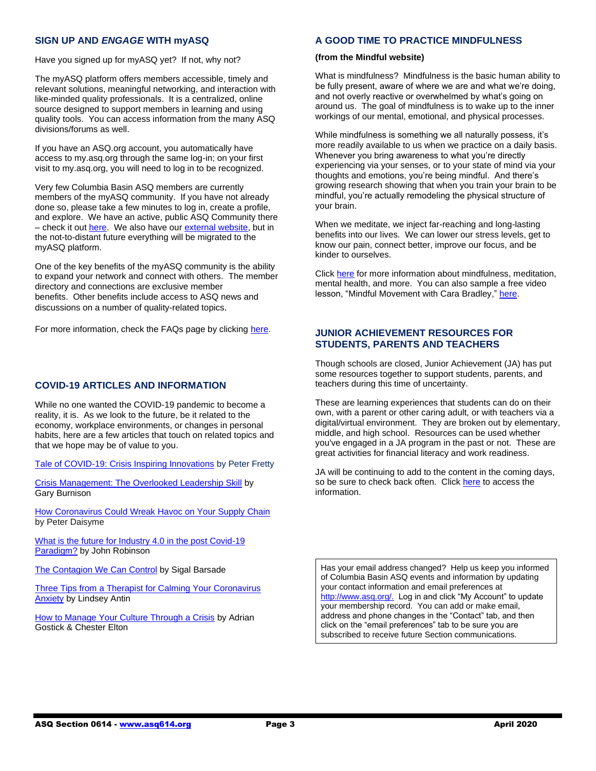# **SIGN UP AND** *ENGAGE* **WITH myASQ**

Have you signed up for myASQ yet? If not, why not?

The myASQ platform offers members accessible, timely and relevant solutions, meaningful networking, and interaction with like-minded quality professionals. It is a centralized, online source designed to support members in learning and using quality tools. You can access information from the many ASQ divisions/forums as well.

If you have an ASQ.org account, you automatically have access to my.asq.org through the same log-in; on your first visit to my.asq.org, you will need to log in to be recognized.

Very few Columbia Basin ASQ members are currently members of the myASQ community. If you have not already done so, please take a few minutes to log in, create a profile, and explore. We have an active, public ASQ Community there – check it ou[t here.](https://my.asq.org/communities/home/235) We also have ou[r external website,](https://www.asq614.org/) but in the not-to-distant future everything will be migrated to the myASQ platform.

One of the key benefits of the myASQ community is the ability to expand your network and connect with others. The member directory and connections are exclusive member benefits. Other benefits include access to ASQ news and discussions on a number of quality-related topics.

For more information, check the FAQs page by clicking [here.](https://my.asq.org/faqs)

# **COVID-19 ARTICLES AND INFORMATION**

While no one wanted the COVID-19 pandemic to become a reality, it is. As we look to the future, be it related to the economy, workplace environments, or changes in personal habits, here are a few articles that touch on related topics and that we hope may be of value to you.

[Tale of COVID-19: Crisis Inspiring Innovations](https://www.industryweek.com/technology-and-iiot/media-gallery/21126839/tale-of-covid19-crisis-inspiring-innovations) by Peter Fretty

[Crisis Management: The Overlooked Leadership Skill](https://www.cfo.com/leadership/2020/03/crisis-management-the-overlooked-leadership-skill/) by Gary Burnison

[How Coronavirus Could Wreak Havoc on Your Supply Chain](https://www.entrepreneur.com/article/347787) by Peter Daisyme

What is the future for Industry 4.0 in the post Covid-19 [Paradigm?](https://www.themanufacturer.com/articles/what-is-the-future-for-industry-4-0-in-the-post-covid-19-paradigm/#.XoYCK_DjO_Y.linkedin) by John Robinson

[The Contagion We Can Control](https://hbr.org/2020/03/the-contagion-we-can-control) by Sigal Barsade

[Three Tips from a Therapist for Calming Your Coronavirus](https://greatergood.berkeley.edu/article/item/three_tips_from_a_therapist_for_calming_your_coronavirus_anxiety?utm_source=Greater+Good+Science+Center&utm_campaign=3283ee616b-EMAIL_CAMPAIGN_GG_Newsletter_April_7_2020&utm_medium=email&utm_term=0_5ae73e326e-3283ee616b-51248575)  [Anxiety](https://greatergood.berkeley.edu/article/item/three_tips_from_a_therapist_for_calming_your_coronavirus_anxiety?utm_source=Greater+Good+Science+Center&utm_campaign=3283ee616b-EMAIL_CAMPAIGN_GG_Newsletter_April_7_2020&utm_medium=email&utm_term=0_5ae73e326e-3283ee616b-51248575) by Lindsey Antin

[How to Manage Your Culture Through a Crisis](https://www.linkedin.com/pulse/how-manage-your-culture-through-crisis-chester-elton/) by Adrian Gostick & Chester Elton

#### **A GOOD TIME TO PRACTICE MINDFULNESS**

#### **(from the Mindful website)**

What is mindfulness? Mindfulness is the basic human ability to be fully present, aware of where we are and what we're doing, and not overly reactive or overwhelmed by what's going on around us. The goal of mindfulness is to wake up to the inner workings of our mental, emotional, and physical processes.

While mindfulness is something we all naturally possess, it's more readily available to us when we practice on a daily basis. Whenever you bring awareness to what you're directly experiencing via your senses, or to your state of mind via your thoughts and emotions, you're being mindful. And there's growing research showing that when you train your brain to be mindful, you're actually remodeling the physical structure of your brain.

When we meditate, we inject far-reaching and long-lasting benefits into our lives. We can lower our stress levels, get to know our pain, connect better, improve our focus, and be kinder to ourselves.

Click [here](https://www.mindful.org/meditation/mindfulness-getting-started/) for more information about mindfulness, meditation, mental health, and more. You can also sample a free video lesson, "Mindful Movement with Cara Bradley," [here.](https://learning.mindful.org/p/daily-mindfulness-free)

# **JUNIOR ACHIEVEMENT RESOURCES FOR STUDENTS, PARENTS AND TEACHERS**

Though schools are closed, Junior Achievement (JA) has put some resources together to support students, parents, and teachers during this time of uncertainty.

These are learning experiences that students can do on their own, with a parent or other caring adult, or with teachers via a digital/virtual environment. They are broken out by elementary, middle, and high school. Resources can be used whether you've engaged in a JA program in the past or not. These are great activities for financial literacy and work readiness.

JA will be continuing to add to the content in the coming days, so be sure to check back often. Clic[k here](https://www.juniorachievement.org/web/ja-usa/program-resources) to access the information.

Has your email address changed? Help us keep you informed of Columbia Basin ASQ events and information by updating your contact information and email preferences at [http://www.asq.org/.](http://www.asq.org/) Log in and click "My Account" to update your membership record. You can add or make email, address and phone changes in the "Contact" tab, and then click on the "email preferences" tab to be sure you are subscribed to receive future Section communications.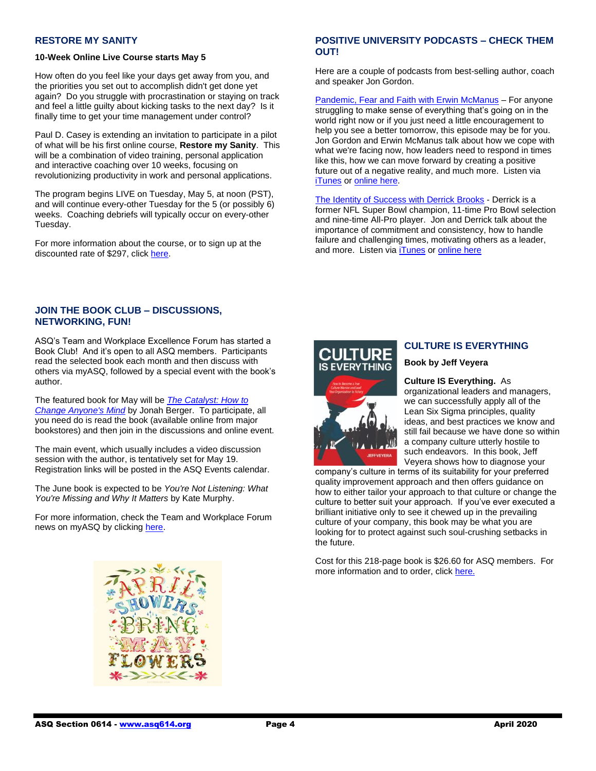# **RESTORE MY SANITY**

#### **10-Week Online Live Course starts May 5**

How often do you feel like your days get away from you, and the priorities you set out to accomplish didn't get done yet again? Do you struggle with procrastination or staying on track and feel a little guilty about kicking tasks to the next day? Is it finally time to get your time management under control?

Paul D. Casey is extending an invitation to participate in a pilot of what will be his first online course, **Restore my Sanity**. This will be a combination of video training, personal application and interactive coaching over 10 weeks, focusing on revolutionizing productivity in work and personal applications.

The program begins LIVE on Tuesday, May 5, at noon (PST), and will continue every-other Tuesday for the 5 (or possibly 6) weeks. Coaching debriefs will typically occur on every-other Tuesday.

For more information about the course, or to sign up at the discounted rate of \$297, click [here.](https://www.paulcasey.org/product/restore-my-sanity-time-management-course/)

# **JOIN THE BOOK CLUB – DISCUSSIONS, NETWORKING, FUN!**

ASQ's Team and Workplace Excellence Forum has started a Book Club! And it's open to all ASQ members. Participants read the selected book each month and then discuss with others via myASQ, followed by a special event with the book's author.

The featured book for May will be *[The Catalyst: How to](https://jonahberger.com/books/the-catalyst/)  [Change Anyone's Mind](https://jonahberger.com/books/the-catalyst/)* by Jonah Berger. To participate, all you need do is read the book (available online from major bookstores) and then join in the discussions and online event.

The main event, which usually includes a video discussion session with the author, is tentatively set for May 19. Registration links will be posted in the ASQ Events calendar.

The June book is expected to be *You're Not Listening: What You're Missing and Why It Matters* by Kate Murphy.

For more information, check the Team and Workplace Forum news on myASQ by clickin[g here.](https://my.asq.org/communities/home/170)

# **POSITIVE UNIVERSITY PODCASTS – CHECK THEM OUT!**

Here are a couple of podcasts from best-selling author, coach and speaker Jon Gordon.

[Pandemic, Fear and Faith with Erwin McManus](http://r20.rs6.net/tn.jsp?f=001IHCqnHvAL5UYmmS_8w5_J02AF4UvrRd9cKI3GdRdhAJiH5XQuqxlSBpo36cmF1yrTQumPSwyq4fYOVwc0TZvldbEximobsHD0ypI0CnpuBGQJ-dNOBGfYXp7FkcL5OZc7o7UA_U9mpCCzV8mCj5Z0j95OfValp-Fk30OmX2-93DxVmXdvWwpzUvSMX8zshKSyReL7P1B2Lg=&c=Toi3NQfBTyoEmZrzktURbAURnw4COI_qYxkay6FQr7OiYvo9mnE2lA==&ch=nyS6ncuMth9ML7F9dv__LfXrQ48ihK0wV8N_lh_2VnhmRW4_oWsG8g==) – For anyone struggling to make sense of everything that's going on in the world right now or if you just need a little encouragement to help you see a better tomorrow, this episode may be for you. Jon Gordon and Erwin McManus talk about how we cope with what we're facing now, how leaders need to respond in times like this, how we can move forward by creating a positive future out of a negative reality, and much more. Listen via [iTunes](http://r20.rs6.net/tn.jsp?f=001IHCqnHvAL5UYmmS_8w5_J02AF4UvrRd9cKI3GdRdhAJiH5XQuqxlSBpo36cmF1yr5HXtpA960Yaozg3FlJyZptvj9I__i5bMJttr-fvgLt71Tm4oQ4XM6IKHBN4wvpiuPOMe8u8IdTjRYTdJEtO8WTIVvCK9dAiibEmuTK0c7LhZByH2c487Qf36Bvgalv6VaKjl0Tuyl31ADWyz1HtcTy1UviClCb6ftqAq71D0xQ5S_xHUH7jwJmEUfpMt6Z_pB5QP5JLNDCt9-_UL8gqLlA==&c=Toi3NQfBTyoEmZrzktURbAURnw4COI_qYxkay6FQr7OiYvo9mnE2lA==&ch=nyS6ncuMth9ML7F9dv__LfXrQ48ihK0wV8N_lh_2VnhmRW4_oWsG8g==) or [online here.](http://r20.rs6.net/tn.jsp?f=001IHCqnHvAL5UYmmS_8w5_J02AF4UvrRd9cKI3GdRdhAJiH5XQuqxlSBpo36cmF1yrTQumPSwyq4fYOVwc0TZvldbEximobsHD0ypI0CnpuBGQJ-dNOBGfYXp7FkcL5OZc7o7UA_U9mpCCzV8mCj5Z0j95OfValp-Fk30OmX2-93DxVmXdvWwpzUvSMX8zshKSyReL7P1B2Lg=&c=Toi3NQfBTyoEmZrzktURbAURnw4COI_qYxkay6FQr7OiYvo9mnE2lA==&ch=nyS6ncuMth9ML7F9dv__LfXrQ48ihK0wV8N_lh_2VnhmRW4_oWsG8g==)

[The Identity of Success with Derrick Brooks](http://r20.rs6.net/tn.jsp?f=001IHCqnHvAL5UYmmS_8w5_J02AF4UvrRd9cKI3GdRdhAJiH5XQuqxlSBpo36cmF1yryPaMPBfqQ346EojF_IAcDpOweQwQCZgGj5KIt5lJCC3vW4xCuh7EFNOetjvuBvjy6Gq_7DMaqqmkJ5me9PbWMHUE-EZMnZ6VsaeenOYP5YcE8t-NYQsJNXEaLaNJYIOh&c=Toi3NQfBTyoEmZrzktURbAURnw4COI_qYxkay6FQr7OiYvo9mnE2lA==&ch=nyS6ncuMth9ML7F9dv__LfXrQ48ihK0wV8N_lh_2VnhmRW4_oWsG8g==) - Derrick is a former NFL Super Bowl champion, 11-time Pro Bowl selection and nine-time All-Pro player. Jon and Derrick talk about the importance of commitment and consistency, how to handle failure and challenging times, motivating others as a leader, and more. Listen via [iTunes](http://r20.rs6.net/tn.jsp?f=001IHCqnHvAL5UYmmS_8w5_J02AF4UvrRd9cKI3GdRdhAJiH5XQuqxlSBpo36cmF1yrWc_DsUVTuSNiq-rYWxhC4uqca18bivUXM36nuQ49PL1PyiWOQ5weniqyrNi9X5u1p-E4yY4T96JP_uglTSv6vd-fKgU01y4eG9zzJvA-zd7aWrjPabksd2StKw2S6HXusi5N5xg-PZqBoyZtbN7GVdVSTo3ndRU-EHe9FmbUilmz_2cf2rPdMI41OzFMipg9ZnUs2DOnamrd0GEChn7ZOA==&c=Toi3NQfBTyoEmZrzktURbAURnw4COI_qYxkay6FQr7OiYvo9mnE2lA==&ch=nyS6ncuMth9ML7F9dv__LfXrQ48ihK0wV8N_lh_2VnhmRW4_oWsG8g==) or [online here](http://r20.rs6.net/tn.jsp?f=001IHCqnHvAL5UYmmS_8w5_J02AF4UvrRd9cKI3GdRdhAJiH5XQuqxlSBpo36cmF1yryPaMPBfqQ346EojF_IAcDpOweQwQCZgGj5KIt5lJCC3vW4xCuh7EFNOetjvuBvjy6Gq_7DMaqqmkJ5me9PbWMHUE-EZMnZ6VsaeenOYP5YcE8t-NYQsJNXEaLaNJYIOh&c=Toi3NQfBTyoEmZrzktURbAURnw4COI_qYxkay6FQr7OiYvo9mnE2lA==&ch=nyS6ncuMth9ML7F9dv__LfXrQ48ihK0wV8N_lh_2VnhmRW4_oWsG8g==)



# **CULTURE IS EVERYTHING**

### **Book by Jeff Veyera**

### **Culture IS Everything.** As

organizational leaders and managers, we can successfully apply all of the Lean Six Sigma principles, quality ideas, and best practices we know and still fail because we have done so within a company culture utterly hostile to such endeavors. In this book, Jeff Veyera shows how to diagnose your

company's culture in terms of its suitability for your preferred quality improvement approach and then offers guidance on how to either tailor your approach to that culture or change the culture to better suit your approach. If you've ever executed a brilliant initiative only to see it chewed up in the prevailing culture of your company, this book may be what you are looking for to protect against such soul-crushing setbacks in the future.

Cost for this 218-page book is \$26.60 for ASQ members. For more information and to order, clic[k here.](https://asq.org/quality-press/display-item?item=H1568&utm_source=email&utm_medium=email&utm_campaign=knowledge%20offerings_quality-press-monthly-newsletter_202003_qpnewsletter)